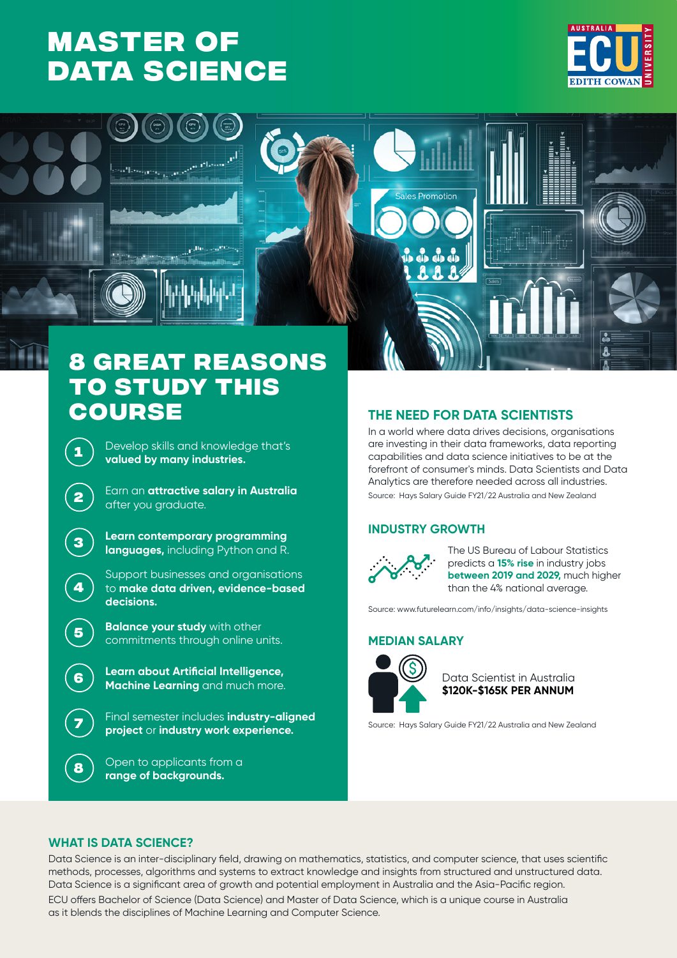### **MASTER OF [DATA SCIENCE](https://www.ecu.edu.au/degrees/courses/overview?id=I97)**





## **8 great reasons**  TO STUDY THIS<br>COURSE

**1** Develop skills and knowledge that's **valued by many industries.**

**<sup>2</sup>** Earn an **attractive salary in Australia** after you graduate.

**<sup>3</sup> Learn contemporary programming languages,** including Python and R.

> Support businesses and organisations to **make data driven, evidence-based decisions.**

**<sup>5</sup> Balance your study** with other commitments through online units.

**<sup>6</sup> Learn about Artificial Intelligence, Machine Learning** and much more.

> **<sup>7</sup>** Final semester includes **industry-aligned project** or **industry work experience.**

**<sup>8</sup>** Open to applicants from a **range of backgrounds.**

#### **course THE NEED FOR DATA SCIENTISTS**

In a world where data drives decisions, organisations are investing in their data frameworks, data reporting capabilities and data science initiatives to be at the forefront of consumer's minds. Data Scientists and Data Analytics are therefore needed across all industries. Source: Hays Salary Guide FY21/22 Australia and New Zealand

#### **INDUSTRY GROWTH**



The US Bureau of Labour Statistics predicts a **15% rise** in industry jobs **between 2019 and 2029,** much higher than the 4% national average.

Source: www.futurelearn.com/info/insights/data-science-insights

#### **MEDIAN SALARY**



**\$120K-\$165K PER ANNUM** Data Scientist in Australia

Source: Hays Salary Guide FY21/22 Australia and New Zealand

#### **WHAT IS DATA SCIENCE?**

**4**

Data Science is an inter-disciplinary field, drawing on mathematics, statistics, and computer science, that uses scientific methods, processes, algorithms and systems to extract knowledge and insights from structured and unstructured data. Data Science is a significant area of growth and potential employment in Australia and the Asia-Pacific region. ECU offers Bachelor of Science (Data Science) and Master of Data Science, which is a unique course in Australia as it blends the disciplines of Machine Learning and Computer Science.